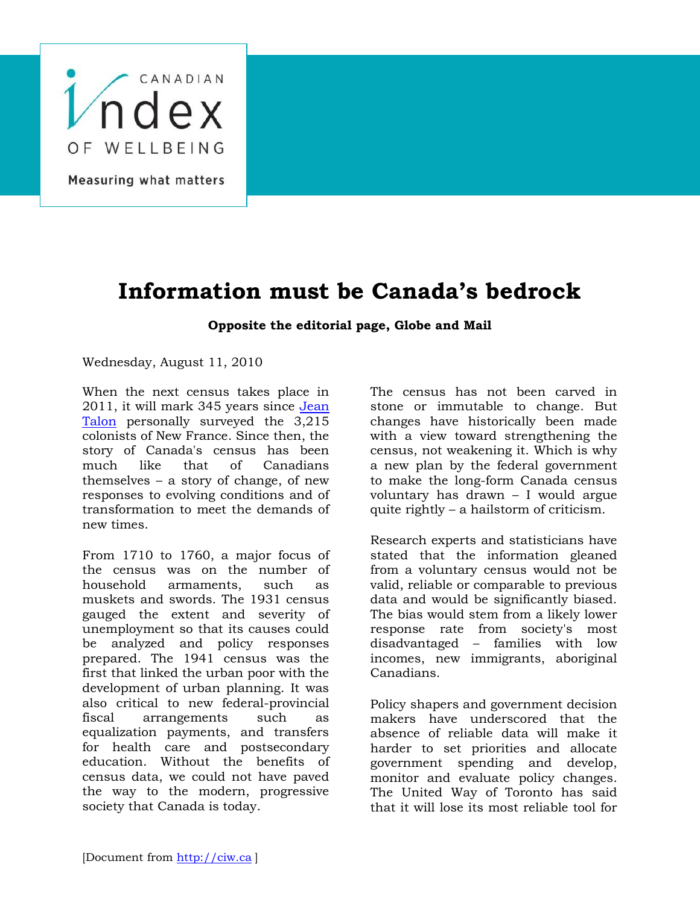

## **Information must be Canada's bedrock**

## **Opposite the editorial page, Globe and Mail**

Wednesday, August 11, 2010

When the next census takes place in 2011, it will mark 345 years since [Jean](http://en.wikipedia.org/wiki/Jean_Talon)  [Talon](http://en.wikipedia.org/wiki/Jean_Talon) personally surveyed the 3,215 colonists of New France. Since then, the story of Canada's census has been much like that of Canadians themselves – a story of change, of new responses to evolving conditions and of transformation to meet the demands of new times.

From 1710 to 1760, a major focus of the census was on the number of household armaments, such as muskets and swords. The 1931 census gauged the extent and severity of unemployment so that its causes could be analyzed and policy responses prepared. The 1941 census was the first that linked the urban poor with the development of urban planning. It was also critical to new federal-provincial fiscal arrangements such as equalization payments, and transfers for health care and postsecondary education. Without the benefits of census data, we could not have paved the way to the modern, progressive society that Canada is today.

The census has not been carved in stone or immutable to change. But changes have historically been made with a view toward strengthening the census, not weakening it. Which is why a new plan by the federal government to make the long-form Canada census voluntary has drawn – I would argue quite rightly – a hailstorm of criticism.

Research experts and statisticians have stated that the information gleaned from a voluntary census would not be valid, reliable or comparable to previous data and would be significantly biased. The bias would stem from a likely lower response rate from society's most disadvantaged – families with low incomes, new immigrants, aboriginal Canadians.

Policy shapers and government decision makers have underscored that the absence of reliable data will make it harder to set priorities and allocate government spending and develop, monitor and evaluate policy changes. The United Way of Toronto has said that it will lose its most reliable tool for